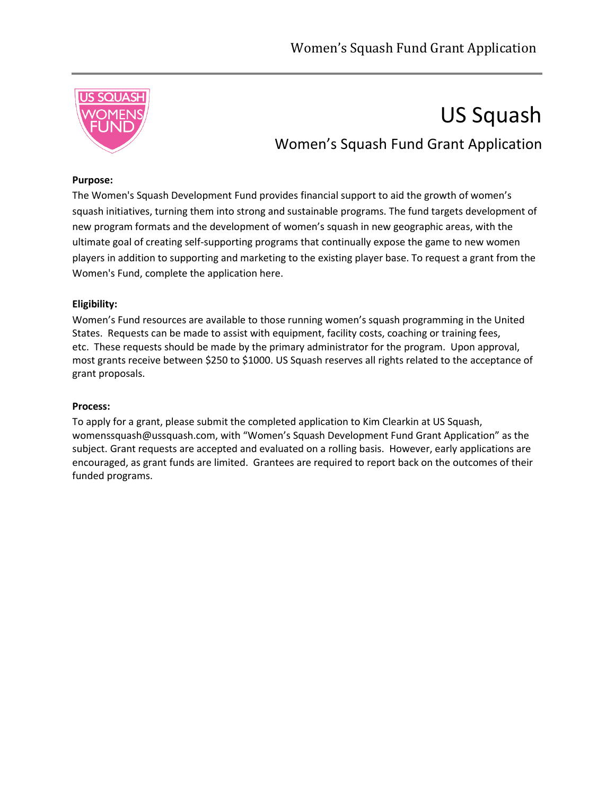

# US Squash Women's Squash Fund Grant Application

## **Purpose:**

The Women's Squash Development Fund provides financial support to aid the growth of women's squash initiatives, turning them into strong and sustainable programs. The fund targets development of new program formats and the development of women's squash in new geographic areas, with the ultimate goal of creating self-supporting programs that continually expose the game to new women players in addition to supporting and marketing to the existing player base. To request a grant from the Women's Fund, complete the application here.

## **Eligibility:**

Women's Fund resources are available to those running women's squash programming in the United States. Requests can be made to assist with equipment, facility costs, coaching or training fees, etc. These requests should be made by the primary administrator for the program. Upon approval, most grants receive between \$250 to \$1000. US Squash reserves all rights related to the acceptance of grant proposals.

## **Process:**

To apply for a grant, please submit the completed application to Kim Clearkin at US Squash, womenssquash@ussquash.com, with "Women's Squash Development Fund Grant Application" as the subject. Grant requests are accepted and evaluated on a rolling basis. However, early applications are encouraged, as grant funds are limited. Grantees are required to report back on the outcomes of their funded programs.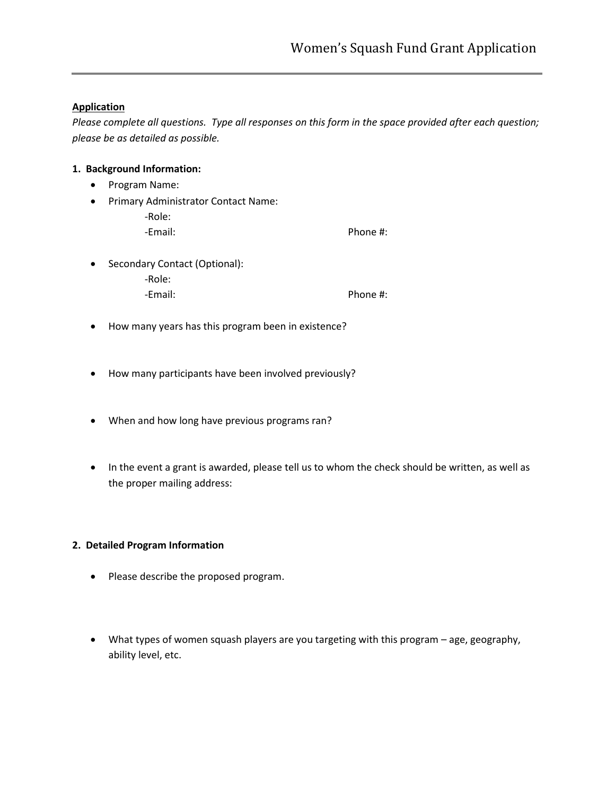## **Application**

*Please complete all questions. Type all responses on this form in the space provided after each question; please be as detailed as possible.*

## **1. Background Information:**

- Program Name:
- Primary Administrator Contact Name:
	- -Role: -Email: Phone #:
- Secondary Contact (Optional):
	- -Role: -Email: Phone #:
- How many years has this program been in existence?
- How many participants have been involved previously?
- When and how long have previous programs ran?
- In the event a grant is awarded, please tell us to whom the check should be written, as well as the proper mailing address:

## **2. Detailed Program Information**

- Please describe the proposed program.
- What types of women squash players are you targeting with this program age, geography, ability level, etc.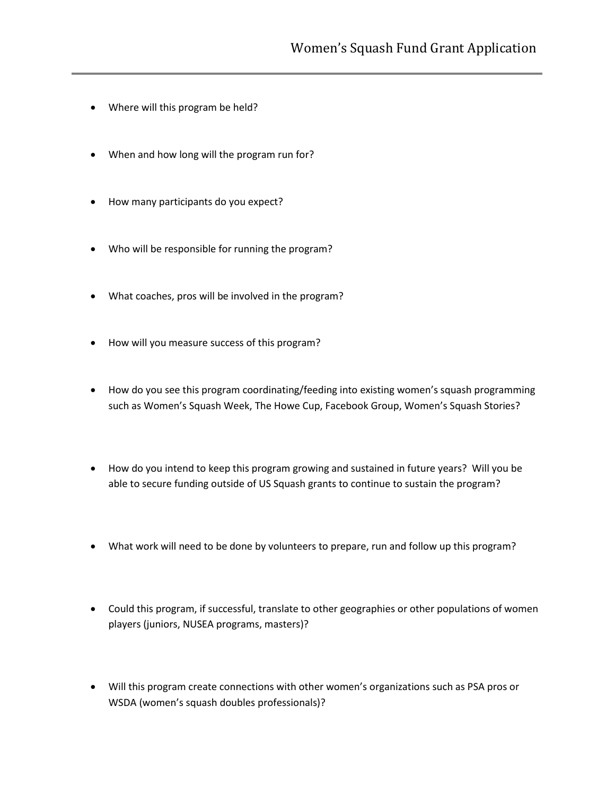- Where will this program be held?
- When and how long will the program run for?
- How many participants do you expect?
- Who will be responsible for running the program?
- What coaches, pros will be involved in the program?
- How will you measure success of this program?
- How do you see this program coordinating/feeding into existing women's squash programming such as Women's Squash Week, The Howe Cup, Facebook Group, Women's Squash Stories?
- How do you intend to keep this program growing and sustained in future years? Will you be able to secure funding outside of US Squash grants to continue to sustain the program?
- What work will need to be done by volunteers to prepare, run and follow up this program?
- Could this program, if successful, translate to other geographies or other populations of women players (juniors, NUSEA programs, masters)?
- Will this program create connections with other women's organizations such as PSA pros or WSDA (women's squash doubles professionals)?